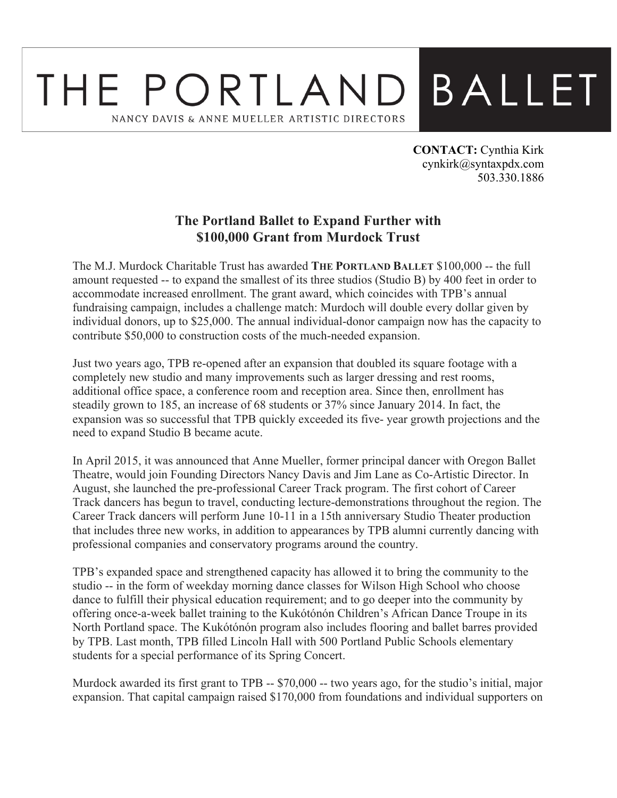## **BALLET** THE PORTLAND NANCY DAVIS & ANNE MUELLER ARTISTIC DIRECTORS

**CONTACT:** Cynthia Kirk cynkirk@syntaxpdx.com 503.330.1886

## **The Portland Ballet to Expand Further with \$100,000 Grant from Murdock Trust**

The M.J. Murdock Charitable Trust has awarded **THE PORTLAND BALLET** \$100,000 -- the full amount requested -- to expand the smallest of its three studios (Studio B) by 400 feet in order to accommodate increased enrollment. The grant award, which coincides with TPB's annual fundraising campaign, includes a challenge match: Murdoch will double every dollar given by individual donors, up to \$25,000. The annual individual-donor campaign now has the capacity to contribute \$50,000 to construction costs of the much-needed expansion.

Just two years ago, TPB re-opened after an expansion that doubled its square footage with a completely new studio and many improvements such as larger dressing and rest rooms, additional office space, a conference room and reception area. Since then, enrollment has steadily grown to 185, an increase of 68 students or 37% since January 2014. In fact, the expansion was so successful that TPB quickly exceeded its five- year growth projections and the need to expand Studio B became acute.

In April 2015, it was announced that Anne Mueller, former principal dancer with Oregon Ballet Theatre, would join Founding Directors Nancy Davis and Jim Lane as Co-Artistic Director. In August, she launched the pre-professional Career Track program. The first cohort of Career Track dancers has begun to travel, conducting lecture-demonstrations throughout the region. The Career Track dancers will perform June 10-11 in a 15th anniversary Studio Theater production that includes three new works, in addition to appearances by TPB alumni currently dancing with professional companies and conservatory programs around the country.

TPB's expanded space and strengthened capacity has allowed it to bring the community to the studio -- in the form of weekday morning dance classes for Wilson High School who choose dance to fulfill their physical education requirement; and to go deeper into the community by offering once-a-week ballet training to the Kukótónón Children's African Dance Troupe in its North Portland space. The Kukótónón program also includes flooring and ballet barres provided by TPB. Last month, TPB filled Lincoln Hall with 500 Portland Public Schools elementary students for a special performance of its Spring Concert.

Murdock awarded its first grant to TPB -- \$70,000 -- two years ago, for the studio's initial, major expansion. That capital campaign raised \$170,000 from foundations and individual supporters on